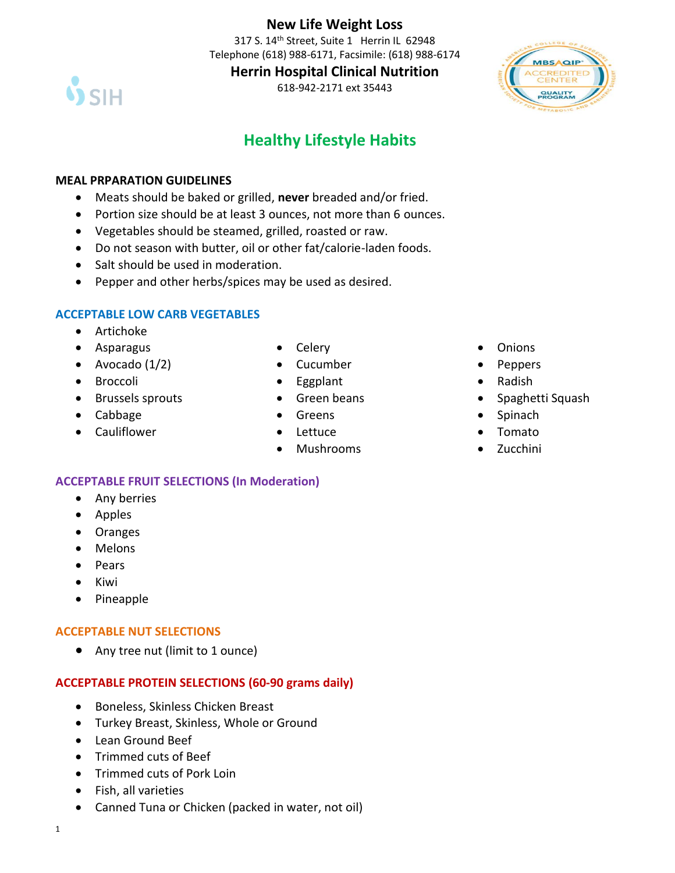# **New Life Weight Loss**

317 S. 14<sup>th</sup> Street, Suite 1 Herrin IL 62948 Telephone (618) 988-6171, Facsimile: (618) 988-6174



**Herrin Hospital Clinical Nutrition**

618-942-2171 ext 35443



# **Healthy Lifestyle Habits**

#### **MEAL PRPARATION GUIDELINES**

- Meats should be baked or grilled, **never** breaded and/or fried.
- Portion size should be at least 3 ounces, not more than 6 ounces.
- Vegetables should be steamed, grilled, roasted or raw.
- Do not season with butter, oil or other fat/calorie-laden foods.
- Salt should be used in moderation.
- Pepper and other herbs/spices may be used as desired.

#### **ACCEPTABLE LOW CARB VEGETABLES**

- Artichoke
- Asparagus
- Avocado  $(1/2)$
- Broccoli
- Brussels sprouts
- Cabbage
- Cauliflower
- Celery
- Cucumber
- Eggplant
- Green beans
- Greens
- Lettuce
- Mushrooms
- Onions
- Peppers
- Radish
- Spaghetti Squash
- **Spinach**
- Tomato
- Zucchini

## **ACCEPTABLE FRUIT SELECTIONS (In Moderation)**

- Any berries
- Apples
- Oranges
- Melons
- Pears
- Kiwi
- Pineapple

#### **ACCEPTABLE NUT SELECTIONS**

• Any tree nut (limit to 1 ounce)

## **ACCEPTABLE PROTEIN SELECTIONS (60-90 grams daily)**

- Boneless, Skinless Chicken Breast
- Turkey Breast, Skinless, Whole or Ground
- Lean Ground Beef
- Trimmed cuts of Beef
- Trimmed cuts of Pork Loin
- Fish, all varieties
- Canned Tuna or Chicken (packed in water, not oil)